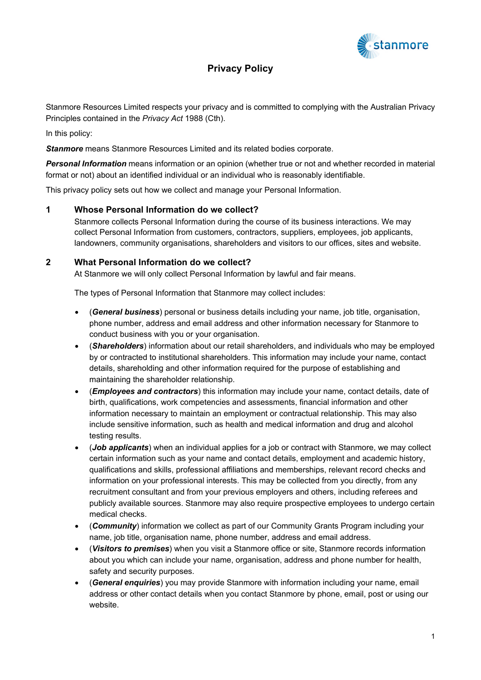

# **Privacy Policy**

Stanmore Resources Limited respects your privacy and is committed to complying with the Australian Privacy Principles contained in the *Privacy Act* 1988 (Cth).

In this policy:

*Stanmore* means Stanmore Resources Limited and its related bodies corporate.

*Personal Information* means information or an opinion (whether true or not and whether recorded in material format or not) about an identified individual or an individual who is reasonably identifiable.

This privacy policy sets out how we collect and manage your Personal Information.

# **1 Whose Personal Information do we collect?**

Stanmore collects Personal Information during the course of its business interactions. We may collect Personal Information from customers, contractors, suppliers, employees, job applicants, landowners, community organisations, shareholders and visitors to our offices, sites and website.

# **2 What Personal Information do we collect?**

At Stanmore we will only collect Personal Information by lawful and fair means.

The types of Personal Information that Stanmore may collect includes:

- (*General business*) personal or business details including your name, job title, organisation, phone number, address and email address and other information necessary for Stanmore to conduct business with you or your organisation.
- (*Shareholders*) information about our retail shareholders, and individuals who may be employed by or contracted to institutional shareholders. This information may include your name, contact details, shareholding and other information required for the purpose of establishing and maintaining the shareholder relationship.
- (*Employees and contractors*) this information may include your name, contact details, date of birth, qualifications, work competencies and assessments, financial information and other information necessary to maintain an employment or contractual relationship. This may also include sensitive information, such as health and medical information and drug and alcohol testing results.
- (*Job applicants*) when an individual applies for a job or contract with Stanmore, we may collect certain information such as your name and contact details, employment and academic history, qualifications and skills, professional affiliations and memberships, relevant record checks and information on your professional interests. This may be collected from you directly, from any recruitment consultant and from your previous employers and others, including referees and publicly available sources. Stanmore may also require prospective employees to undergo certain medical checks.
- (*Community*) information we collect as part of our Community Grants Program including your name, job title, organisation name, phone number, address and email address.
- (*Visitors to premises*) when you visit a Stanmore office or site, Stanmore records information about you which can include your name, organisation, address and phone number for health, safety and security purposes.
- (*General enquiries*) you may provide Stanmore with information including your name, email address or other contact details when you contact Stanmore by phone, email, post or using our website.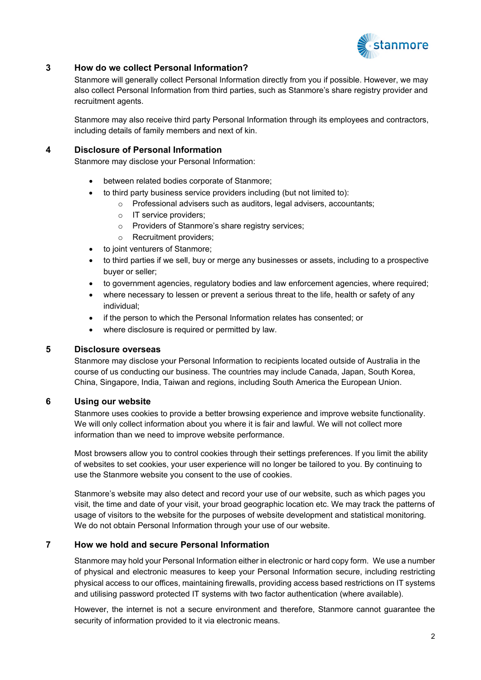

# **3 How do we collect Personal lnformation?**

Stanmore will generally collect Personal Information directly from you if possible. However, we may also collect Personal Information from third parties, such as Stanmore's share registry provider and recruitment agents.

Stanmore may also receive third party Personal Information through its employees and contractors, including details of family members and next of kin.

# **4 Disclosure of Personal Information**

Stanmore may disclose your Personal Information:

- between related bodies corporate of Stanmore;
- to third party business service providers including (but not limited to):
	- o Professional advisers such as auditors, legal advisers, accountants;
	- o IT service providers;
	- o Providers of Stanmore's share registry services;
	- o Recruitment providers;
- to joint venturers of Stanmore;
- to third parties if we sell, buy or merge any businesses or assets, including to a prospective buyer or seller;
- to government agencies, regulatory bodies and law enforcement agencies, where required;
- where necessary to lessen or prevent a serious threat to the life, health or safety of any individual;
- if the person to which the Personal Information relates has consented; or
- where disclosure is required or permitted by law.

#### **5 Disclosure overseas**

Stanmore may disclose your Personal Information to recipients located outside of Australia in the course of us conducting our business. The countries may include Canada, Japan, South Korea, China, Singapore, India, Taiwan and regions, including South America the European Union.

# **6 Using our website**

Stanmore uses cookies to provide a better browsing experience and improve website functionality. We will only collect information about you where it is fair and lawful. We will not collect more information than we need to improve website performance.

Most browsers allow you to control cookies through their settings preferences. If you limit the ability of websites to set cookies, your user experience will no longer be tailored to you. By continuing to use the Stanmore website you consent to the use of cookies.

Stanmore's website may also detect and record your use of our website, such as which pages you visit, the time and date of your visit, your broad geographic location etc. We may track the patterns of usage of visitors to the website for the purposes of website development and statistical monitoring. We do not obtain Personal Information through your use of our website.

# **7 How we hold and secure Personal Information**

Stanmore may hold your Personal Information either in electronic or hard copy form. We use a number of physical and electronic measures to keep your Personal Information secure, including restricting physical access to our offices, maintaining firewalls, providing access based restrictions on IT systems and utilising password protected IT systems with two factor authentication (where available).

However, the internet is not a secure environment and therefore, Stanmore cannot guarantee the security of information provided to it via electronic means.